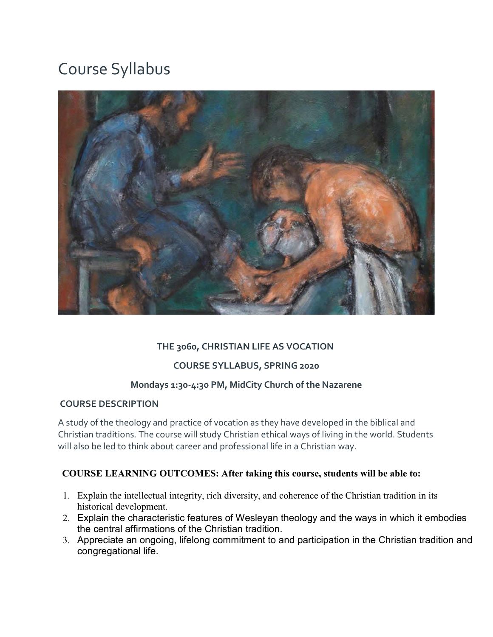# Course Syllabus



## **THE 3060, CHRISTIAN LIFE AS VOCATION**

#### **COURSE SYLLABUS, SPRING 2020**

#### **Mondays 1:30-4:30 PM, MidCity Church of the Nazarene**

#### **COURSE DESCRIPTION**

A study of the theology and practice of vocation as they have developed in the biblical and Christian traditions. The course will study Christian ethical ways of living in the world. Students will also be led to think about career and professional life in a Christian way.

## **COURSE LEARNING OUTCOMES: After taking this course, students will be able to:**

- 1. Explain the intellectual integrity, rich diversity, and coherence of the Christian tradition in its historical development.
- 2. Explain the characteristic features of Wesleyan theology and the ways in which it embodies the central affirmations of the Christian tradition.
- 3. Appreciate an ongoing, lifelong commitment to and participation in the Christian tradition and congregational life.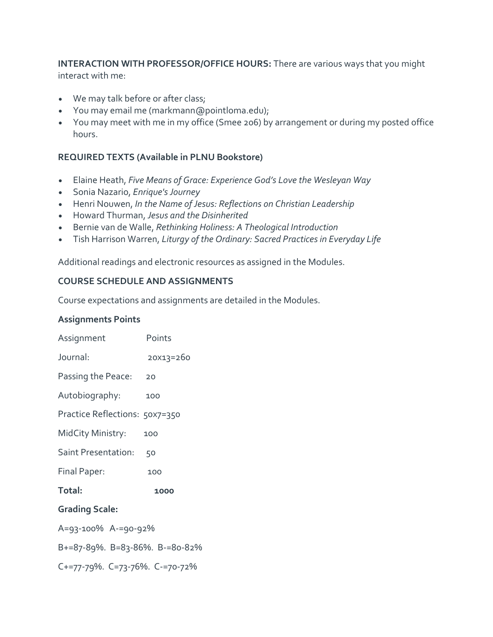**INTERACTION WITH PROFESSOR/OFFICE HOURS:** There are various ways that you might interact with me:

- We may talk before or after class;
- You may email me (markmann@pointloma.edu);
- You may meet with me in my office (Smee 206) by arrangement or during my posted office hours.

## **REQUIRED TEXTS (Available in PLNU Bookstore)**

- Elaine Heath, *Five Means of Grace: Experience God's Love the Wesleyan Way*
- Sonia Nazario, *Enrique's Journey*
- Henri Nouwen, *In the Name of Jesus: Reflections on Christian Leadership*
- Howard Thurman, *Jesus and the Disinherited*
- Bernie van de Walle, *Rethinking Holiness: A Theological Introduction*
- Tish Harrison Warren, *Liturgy of the Ordinary: Sacred Practices in Everyday Life*

Additional readings and electronic resources as assigned in the Modules.

## **COURSE SCHEDULE AND ASSIGNMENTS**

Course expectations and assignments are detailed in the Modules.

#### **Assignments Points**

| Assignment                     | Points    |  |  |  |
|--------------------------------|-----------|--|--|--|
| Journal:                       | 20X13=260 |  |  |  |
| Passing the Peace:             | 20        |  |  |  |
| Autobiography:                 | 100       |  |  |  |
| Practice Reflections: 50x7=350 |           |  |  |  |
| MidCity Ministry:              | 100       |  |  |  |
| Saint Presentation:            | 50        |  |  |  |
| Final Paper:                   | 100       |  |  |  |
| Total:                         | 1000      |  |  |  |
| <b>Grading Scale:</b>          |           |  |  |  |
| A=93-100% A-=90-92%            |           |  |  |  |
| B+=87-89%. B=83-86%. B-=80-82% |           |  |  |  |
| C+=77-79%. C=73-76%. C-=70-72% |           |  |  |  |
|                                |           |  |  |  |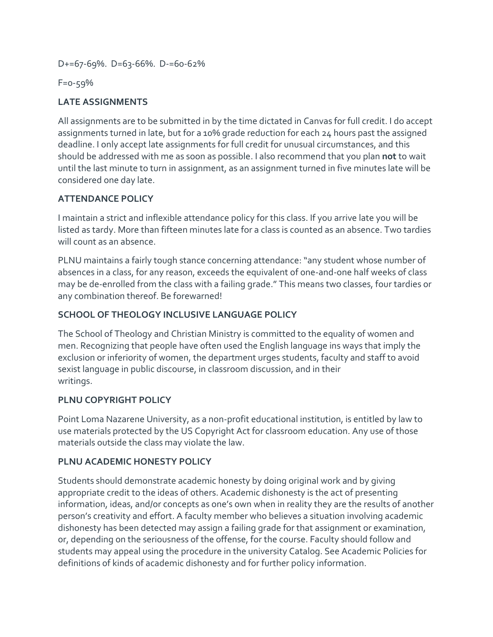D+=67-69%. D=63-66%. D-=60-62%

F=0-59%

## **LATE ASSIGNMENTS**

All assignments are to be submitted in by the time dictated in Canvas for full credit. I do accept assignments turned in late, but for a 10% grade reduction for each 24 hours past the assigned deadline. I only accept late assignments for full credit for unusual circumstances, and this should be addressed with me as soon as possible. I also recommend that you plan **not** to wait until the last minute to turn in assignment, as an assignment turned in five minutes late will be considered one day late.

## **ATTENDANCE POLICY**

I maintain a strict and inflexible attendance policy for this class. If you arrive late you will be listed as tardy. More than fifteen minutes late for a class is counted as an absence. Two tardies will count as an absence.

PLNU maintains a fairly tough stance concerning attendance: "any student whose number of absences in a class, for any reason, exceeds the equivalent of one-and-one half weeks of class may be de-enrolled from the class with a failing grade." This means two classes, four tardies or any combination thereof. Be forewarned!

## **SCHOOL OF THEOLOGY INCLUSIVE LANGUAGE POLICY**

The School of Theology and Christian Ministry is committed to the equality of women and men. Recognizing that people have often used the English language ins ways that imply the exclusion or inferiority of women, the department urges students, faculty and staff to avoid sexist language in public discourse, in classroom discussion, and in their writings.

## **PLNU COPYRIGHT POLICY**

Point Loma Nazarene University, as a non-profit educational institution, is entitled by law to use materials protected by the US Copyright Act for classroom education. Any use of those materials outside the class may violate the law.

## **PLNU ACADEMIC HONESTY POLICY**

Students should demonstrate academic honesty by doing original work and by giving appropriate credit to the ideas of others. Academic dishonesty is the act of presenting information, ideas, and/or concepts as one's own when in reality they are the results of another person's creativity and effort. A faculty member who believes a situation involving academic dishonesty has been detected may assign a failing grade for that assignment or examination, or, depending on the seriousness of the offense, for the course. Faculty should follow and students may appeal using the procedure in the university Catalog. See Academic Policies for definitions of kinds of academic dishonesty and for further policy information.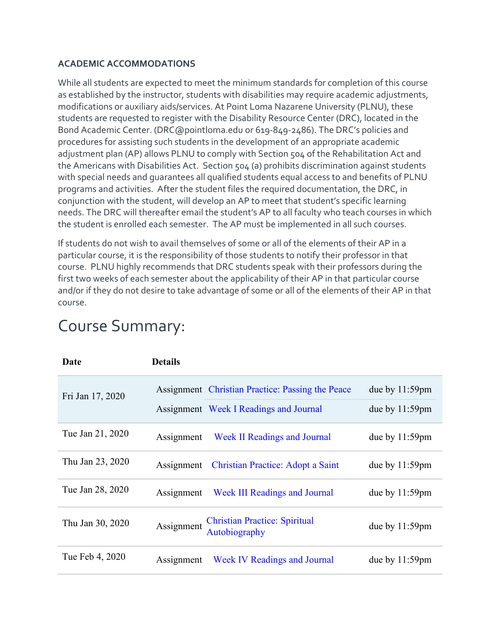## **ACADEMIC ACCOMMODATIONS**

While all students are expected to meet the minimum standards for completion of this course as established by the instructor, students with disabilities may require academic adjustments, modifications or auxiliary aids/services. At Point Loma Nazarene University (PLNU), these students are requested to register with the Disability Resource Center (DRC), located in the Bond Academic Center. (DRC@pointloma.edu or 619-849-2486). The DRC's policies and procedures for assisting such students in the development of an appropriate academic adjustment plan (AP) allows PLNU to comply with Section 504 of the Rehabilitation Act and the Americans with Disabilities Act. Section 504 (a) prohibits discrimination against students with special needs and guarantees all qualified students equal access to and benefits of PLNU programs and activities. After the student files the required documentation, the DRC, in conjunction with the student, will develop an AP to meet that student's specific learning needs. The DRC will thereafter email the student's AP to all faculty who teach courses in which the student is enrolled each semester. The AP must be implemented in all such courses.

If students do not wish to avail themselves of some or all of the elements of their AP in a particular course, it is the responsibility of those students to notify their professor in that course. PLNU highly recommends that DRC students speak with their professors during the first two weeks of each semester about the applicability of their AP in that particular course and/or if they do not desire to take advantage of some or all of the elements of their AP in that course.

| Date             | <b>Details</b> |                                                                                            |                                        |
|------------------|----------------|--------------------------------------------------------------------------------------------|----------------------------------------|
| Fri Jan 17, 2020 |                | Assignment Christian Practice: Passing the Peace<br>Assignment Week I Readings and Journal | due by $11:59$ pm<br>due by $11:59$ pm |
| Tue Jan 21, 2020 | Assignment     | <b>Week II Readings and Journal</b>                                                        | due by $11:59$ pm                      |
| Thu Jan 23, 2020 | Assignment     | <b>Christian Practice: Adopt a Saint</b>                                                   | due by $11:59$ pm                      |
| Tue Jan 28, 2020 | Assignment     | <b>Week III Readings and Journal</b>                                                       | due by $11:59$ pm                      |
| Thu Jan 30, 2020 | Assignment     | <b>Christian Practice: Spiritual</b><br>Autobiography                                      | due by 11:59pm                         |
| Tue Feb 4, 2020  | Assignment     | <b>Week IV Readings and Journal</b>                                                        | due by $11:59$ pm                      |

## Course Summary: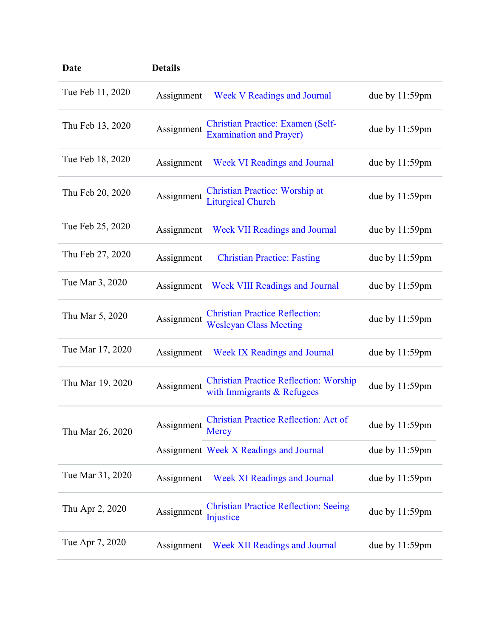| <b>Date</b>      | <b>Details</b> |                                                                             |                   |
|------------------|----------------|-----------------------------------------------------------------------------|-------------------|
| Tue Feb 11, 2020 | Assignment     | <b>Week V Readings and Journal</b>                                          | due by $11:59$ pm |
| Thu Feb 13, 2020 | Assignment     | <b>Christian Practice: Examen (Self-</b><br><b>Examination and Prayer)</b>  | due by 11:59pm    |
| Tue Feb 18, 2020 | Assignment     | <b>Week VI Readings and Journal</b>                                         | due by $11:59$ pm |
| Thu Feb 20, 2020 | Assignment     | <b>Christian Practice: Worship at</b><br><b>Liturgical Church</b>           | due by $11:59$ pm |
| Tue Feb 25, 2020 | Assignment     | <b>Week VII Readings and Journal</b>                                        | due by $11:59$ pm |
| Thu Feb 27, 2020 | Assignment     | <b>Christian Practice: Fasting</b>                                          | due by $11:59$ pm |
| Tue Mar 3, 2020  | Assignment     | <b>Week VIII Readings and Journal</b>                                       | due by $11:59$ pm |
| Thu Mar 5, 2020  | Assignment     | <b>Christian Practice Reflection:</b><br><b>Wesleyan Class Meeting</b>      | due by $11:59$ pm |
| Tue Mar 17, 2020 | Assignment     | <b>Week IX Readings and Journal</b>                                         | due by $11:59$ pm |
| Thu Mar 19, 2020 | Assignment     | <b>Christian Practice Reflection: Worship</b><br>with Immigrants & Refugees | due by $11:59$ pm |
| Thu Mar 26, 2020 | Assignment     | Christian Practice Reflection: Act of<br>Mercy                              | due by 11:59pm    |
|                  |                | Assignment Week X Readings and Journal                                      | due by $11:59$ pm |
| Tue Mar 31, 2020 | Assignment     | <b>Week XI Readings and Journal</b>                                         | due by $11:59$ pm |
| Thu Apr 2, 2020  | Assignment     | <b>Christian Practice Reflection: Seeing</b><br>Injustice                   | due by $11:59$ pm |
| Tue Apr 7, 2020  | Assignment     | <b>Week XII Readings and Journal</b>                                        | due by $11:59$ pm |